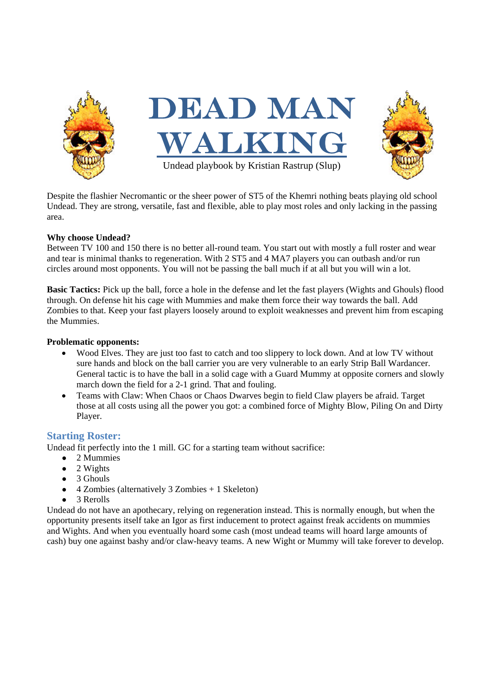

Despite the flashier Necromantic or the sheer power of ST5 of the Khemri nothing beats playing old school Undead. They are strong, versatile, fast and flexible, able to play most roles and only lacking in the passing area.

## **Why choose Undead?**

Between TV 100 and 150 there is no better all-round team. You start out with mostly a full roster and wear and tear is minimal thanks to regeneration. With 2 ST5 and 4 MA7 players you can outbash and/or run circles around most opponents. You will not be passing the ball much if at all but you will win a lot.

**Basic Tactics:** Pick up the ball, force a hole in the defense and let the fast players (Wights and Ghouls) flood through. On defense hit his cage with Mummies and make them force their way towards the ball. Add Zombies to that. Keep your fast players loosely around to exploit weaknesses and prevent him from escaping the Mummies.

### **Problematic opponents:**

- Wood Elves. They are just too fast to catch and too slippery to lock down. And at low TV without sure hands and block on the ball carrier you are very vulnerable to an early Strip Ball Wardancer. General tactic is to have the ball in a solid cage with a Guard Mummy at opposite corners and slowly march down the field for a 2-1 grind. That and fouling.
- Teams with Claw: When Chaos or Chaos Dwarves begin to field Claw players be afraid. Target those at all costs using all the power you got: a combined force of Mighty Blow, Piling On and Dirty Player.

# **Starting Roster:**

Undead fit perfectly into the 1 mill. GC for a starting team without sacrifice:

- 2 Mummies
- 2 Wights
- $\bullet$  3 Ghouls
- 4 Zombies (alternatively 3 Zombies + 1 Skeleton)
- 3 Rerolls

Undead do not have an apothecary, relying on regeneration instead. This is normally enough, but when the opportunity presents itself take an Igor as first inducement to protect against freak accidents on mummies and Wights. And when you eventually hoard some cash (most undead teams will hoard large amounts of cash) buy one against bashy and/or claw-heavy teams. A new Wight or Mummy will take forever to develop.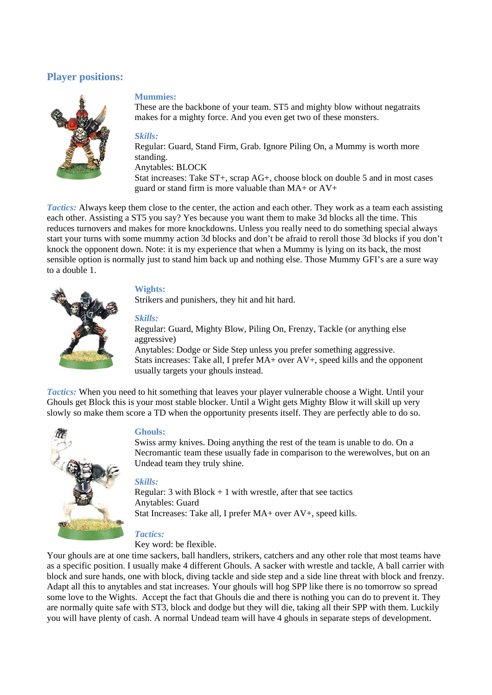# **Player positions:**



### **Mummies:**

These are the backbone of your team. ST5 and mighty blow without negatraits makes for a mighty force. And you even get two of these monsters.

#### *Skills:*

Regular: Guard, Stand Firm, Grab. Ignore Piling On, a Mummy is worth more standing. Anytables: BLOCK Stat increases: Take ST+, scrap AG+, choose block on double 5 and in most cases

guard or stand firm is more valuable than MA+ or AV+

*Tactics:* Always keep them close to the center, the action and each other. They work as a team each assisting each other. Assisting a ST5 you say? Yes because you want them to make 3d blocks all the time. This reduces turnovers and makes for more knockdowns. Unless you really need to do something special always start your turns with some mummy action 3d blocks and don't be afraid to reroll those 3d blocks if you don't knock the opponent down. Note: it is my experience that when a Mummy is lying on its back, the most sensible option is normally just to stand him back up and nothing else. Those Mummy GFI's are a sure way to a double 1.



### **Wights:**

Strikers and punishers, they hit and hit hard.

#### *Skills:*

Regular: Guard, Mighty Blow, Piling On, Frenzy, Tackle (or anything else aggressive)

Anytables: Dodge or Side Step unless you prefer something aggressive. Stats increases: Take all, I prefer MA+ over AV+, speed kills and the opponent usually targets your ghouls instead.

*Tactics:* When you need to hit something that leaves your player vulnerable choose a Wight. Until your Ghouls get Block this is your most stable blocker. Until a Wight gets Mighty Blow it will skill up very slowly so make them score a TD when the opportunity presents itself. They are perfectly able to do so.



#### **Ghouls:**

Swiss army knives. Doing anything the rest of the team is unable to do. On a Necromantic team these usually fade in comparison to the werewolves, but on an Undead team they truly shine.

### *Skills:*

Regular:  $3$  with Block  $+1$  with wrestle, after that see tactics Anytables: Guard Stat Increases: Take all, I prefer MA+ over AV+, speed kills.

# *Tactics:*

Key word: be flexible.

Your ghouls are at one time sackers, ball handlers, strikers, catchers and any other role that most teams have as a specific position. I usually make 4 different Ghouls. A sacker with wrestle and tackle, A ball carrier with block and sure hands, one with block, diving tackle and side step and a side line threat with block and frenzy. Adapt all this to anytables and stat increases. Your ghouls will hog SPP like there is no tomorrow so spread some love to the Wights. Accept the fact that Ghouls die and there is nothing you can do to prevent it. They are normally quite safe with ST3, block and dodge but they will die, taking all their SPP with them. Luckily you will have plenty of cash. A normal Undead team will have 4 ghouls in separate steps of development.